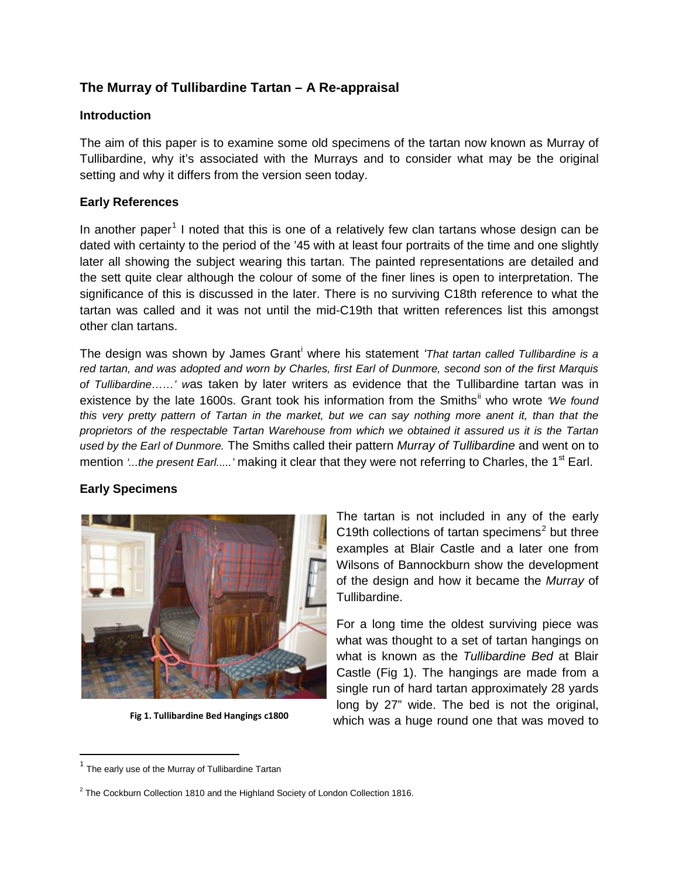# **The Murray of Tullibardine Tartan – A Re-appraisal**

#### **Introduction**

The aim of this paper is to examine some old specimens of the tartan now known as Murray of Tullibardine, why it's associated with the Murrays and to consider what may be the original setting and why it differs from the version seen today.

### **Early References**

In another paper<sup>[1](#page-0-0)</sup> I noted that this is one of a relatively few clan tartans whose design can be dated with certainty to the period of the '45 with at least four portraits of the time and one slightly later all showing the subject wearing this tartan. The painted representations are detailed and the sett quite clear although the colour of some of the finer lines is open to interpretation. The significance of this is discussed in the later. There is no surviving C18th reference to what the tartan was called and it was not until the mid-C19th that written references list this amongst other clan tartans.

The des[i](#page-4-0)gn was shown by James Grant<sup>i</sup> where his statement *'That tartan called Tullibardine is a red tartan, and was adopted and worn by Charles, first Earl of Dunmore, second son of the first Marquis of Tullibardine……' w*as taken by later writers as evidence that the Tullibardine tartan was in existence by the late 1600s. Grant took his information from the Smiths<sup>[ii](#page-4-1)</sup> who wrote 'We found *this very pretty pattern of Tartan in the market, but we can say nothing more anent it, than that the proprietors of the respectable Tartan Warehouse from which we obtained it assured us it is the Tartan used by the Earl of Dunmore.* The Smiths called their pattern *Murray of Tullibardine* and went on to mention *'...the present Earl.....'* making it clear that they were not referring to Charles, the 1<sup>st</sup> Earl.

# **Early Specimens**



**Fig 1. Tullibardine Bed Hangings c1800**

The tartan is not included in any of the early C19th collections of tartan specimens<sup>[2](#page-0-1)</sup> but three examples at Blair Castle and a later one from Wilsons of Bannockburn show the development of the design and how it became the *Murray* of Tullibardine.

For a long time the oldest surviving piece was what was thought to a set of tartan hangings on what is known as the *Tullibardine Bed* at Blair Castle (Fig 1). The hangings are made from a single run of hard tartan approximately 28 yards long by 27" wide. The bed is not the original, which was a huge round one that was moved to

<span id="page-0-0"></span> $1$  The early use of the Murray of Tullibardine Tartan

<span id="page-0-1"></span> $2$  The Cockburn Collection 1810 and the Highland Society of London Collection 1816.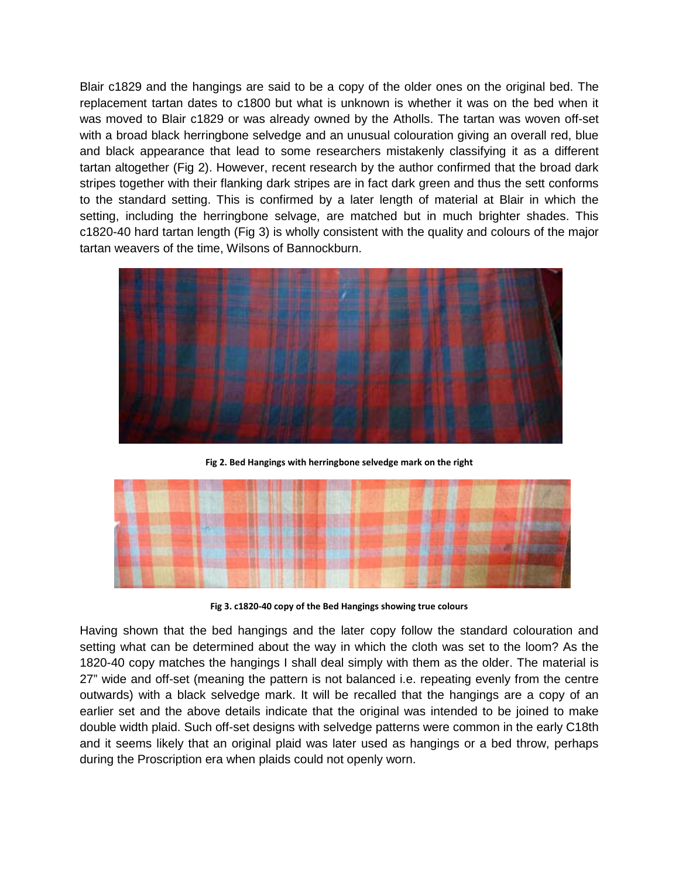Blair c1829 and the hangings are said to be a copy of the older ones on the original bed. The replacement tartan dates to c1800 but what is unknown is whether it was on the bed when it was moved to Blair c1829 or was already owned by the Atholls. The tartan was woven off-set with a broad black herringbone selvedge and an unusual colouration giving an overall red, blue and black appearance that lead to some researchers mistakenly classifying it as a different tartan altogether (Fig 2). However, recent research by the author confirmed that the broad dark stripes together with their flanking dark stripes are in fact dark green and thus the sett conforms to the standard setting. This is confirmed by a later length of material at Blair in which the setting, including the herringbone selvage, are matched but in much brighter shades. This c1820-40 hard tartan length (Fig 3) is wholly consistent with the quality and colours of the major tartan weavers of the time, Wilsons of Bannockburn.



**Fig 2. Bed Hangings with herringbone selvedge mark on the right**



**Fig 3. c1820-40 copy of the Bed Hangings showing true colours**

Having shown that the bed hangings and the later copy follow the standard colouration and setting what can be determined about the way in which the cloth was set to the loom? As the 1820-40 copy matches the hangings I shall deal simply with them as the older. The material is 27" wide and off-set (meaning the pattern is not balanced i.e. repeating evenly from the centre outwards) with a black selvedge mark. It will be recalled that the hangings are a copy of an earlier set and the above details indicate that the original was intended to be joined to make double width plaid. Such off-set designs with selvedge patterns were common in the early C18th and it seems likely that an original plaid was later used as hangings or a bed throw, perhaps during the Proscription era when plaids could not openly worn.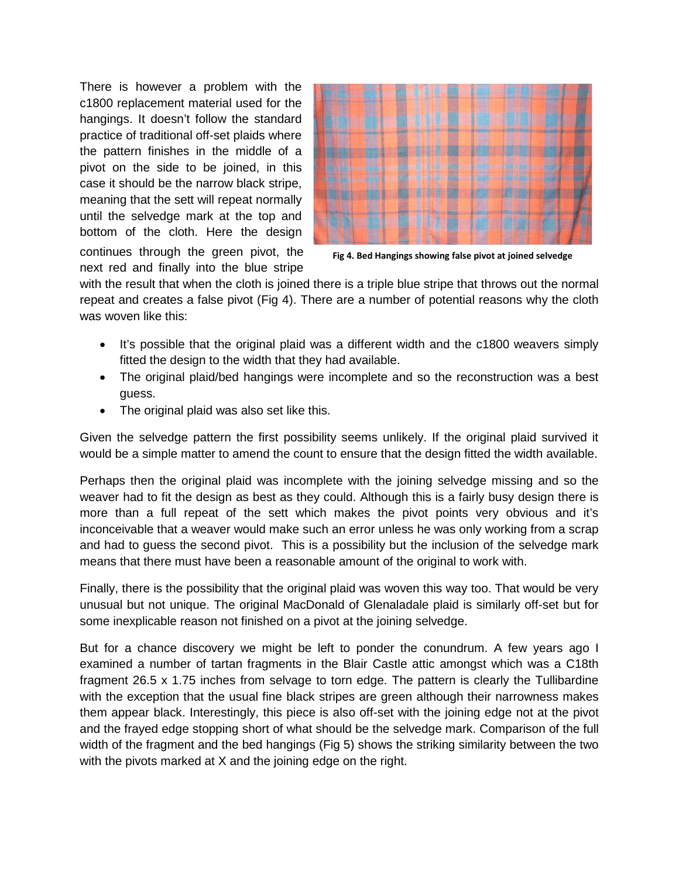There is however a problem with the c1800 replacement material used for the hangings. It doesn't follow the standard practice of traditional off-set plaids where the pattern finishes in the middle of a pivot on the side to be joined, in this case it should be the narrow black stripe, meaning that the sett will repeat normally until the selvedge mark at the top and bottom of the cloth. Here the design continues through the green pivot, the next red and finally into the blue stripe



**Fig 4. Bed Hangings showing false pivot at joined selvedge**

with the result that when the cloth is joined there is a triple blue stripe that throws out the normal repeat and creates a false pivot (Fig 4). There are a number of potential reasons why the cloth was woven like this:

- It's possible that the original plaid was a different width and the c1800 weavers simply fitted the design to the width that they had available.
- The original plaid/bed hangings were incomplete and so the reconstruction was a best guess.
- The original plaid was also set like this.

Given the selvedge pattern the first possibility seems unlikely. If the original plaid survived it would be a simple matter to amend the count to ensure that the design fitted the width available.

Perhaps then the original plaid was incomplete with the joining selvedge missing and so the weaver had to fit the design as best as they could. Although this is a fairly busy design there is more than a full repeat of the sett which makes the pivot points very obvious and it's inconceivable that a weaver would make such an error unless he was only working from a scrap and had to guess the second pivot. This is a possibility but the inclusion of the selvedge mark means that there must have been a reasonable amount of the original to work with.

Finally, there is the possibility that the original plaid was woven this way too. That would be very unusual but not unique. The original MacDonald of Glenaladale plaid is similarly off-set but for some inexplicable reason not finished on a pivot at the joining selvedge.

But for a chance discovery we might be left to ponder the conundrum. A few years ago I examined a number of tartan fragments in the Blair Castle attic amongst which was a C18th fragment 26.5 x 1.75 inches from selvage to torn edge. The pattern is clearly the Tullibardine with the exception that the usual fine black stripes are green although their narrowness makes them appear black. Interestingly, this piece is also off-set with the joining edge not at the pivot and the frayed edge stopping short of what should be the selvedge mark. Comparison of the full width of the fragment and the bed hangings (Fig 5) shows the striking similarity between the two with the pivots marked at X and the joining edge on the right.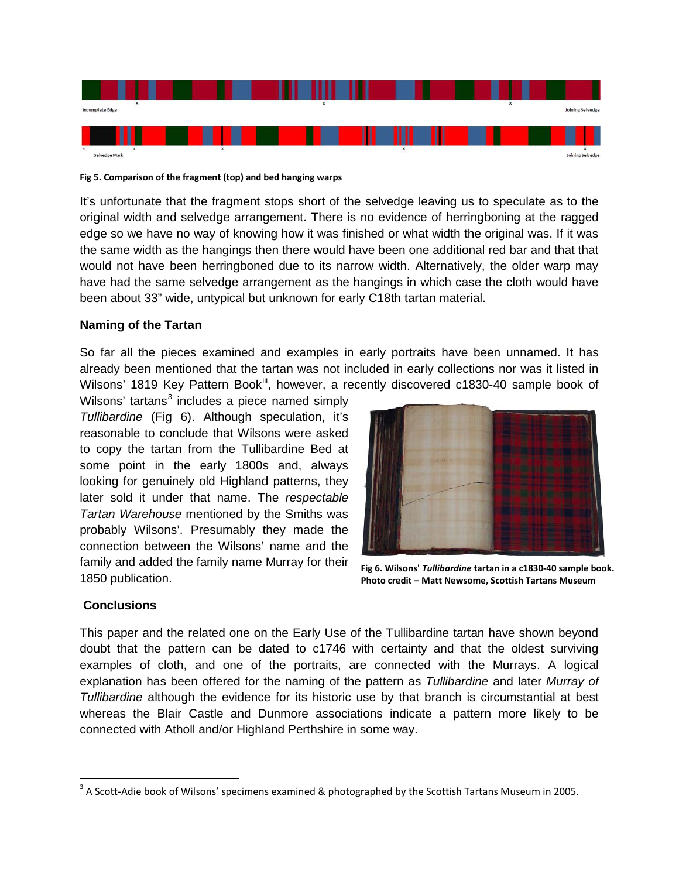

**Fig 5. Comparison of the fragment (top) and bed hanging warps**

It's unfortunate that the fragment stops short of the selvedge leaving us to speculate as to the original width and selvedge arrangement. There is no evidence of herringboning at the ragged edge so we have no way of knowing how it was finished or what width the original was. If it was the same width as the hangings then there would have been one additional red bar and that that would not have been herringboned due to its narrow width. Alternatively, the older warp may have had the same selvedge arrangement as the hangings in which case the cloth would have been about 33" wide, untypical but unknown for early C18th tartan material.

### **Naming of the Tartan**

So far all the pieces examined and examples in early portraits have been unnamed. It has already been mentioned that the tartan was not included in early collections nor was it listed in Wilsons' 1819 Key Pattern Book<sup>[iii](#page-4-2)</sup>, however, a recently discovered c1830-40 sample book of

Wilsons' tartans<sup>[3](#page-3-0)</sup> includes a piece named simply *Tullibardine* (Fig 6). Although speculation, it's reasonable to conclude that Wilsons were asked to copy the tartan from the Tullibardine Bed at some point in the early 1800s and, always looking for genuinely old Highland patterns, they later sold it under that name. The *respectable Tartan Warehouse* mentioned by the Smiths was probably Wilsons'. Presumably they made the connection between the Wilsons' name and the family and added the family name Murray for their 1850 publication.



**Fig 6. Wilsons'** *Tullibardine* **tartan in a c1830-40 sample book. Photo credit – Matt Newsome, Scottish Tartans Museum**

### **Conclusions**

This paper and the related one on the Early Use of the Tullibardine tartan have shown beyond doubt that the pattern can be dated to c1746 with certainty and that the oldest surviving examples of cloth, and one of the portraits, are connected with the Murrays. A logical explanation has been offered for the naming of the pattern as *Tullibardine* and later *Murray of Tullibardine* although the evidence for its historic use by that branch is circumstantial at best whereas the Blair Castle and Dunmore associations indicate a pattern more likely to be connected with Atholl and/or Highland Perthshire in some way.

<span id="page-3-0"></span><sup>&</sup>lt;sup>3</sup> A Scott-Adie book of Wilsons' specimens examined & photographed by the Scottish Tartans Museum in 2005.